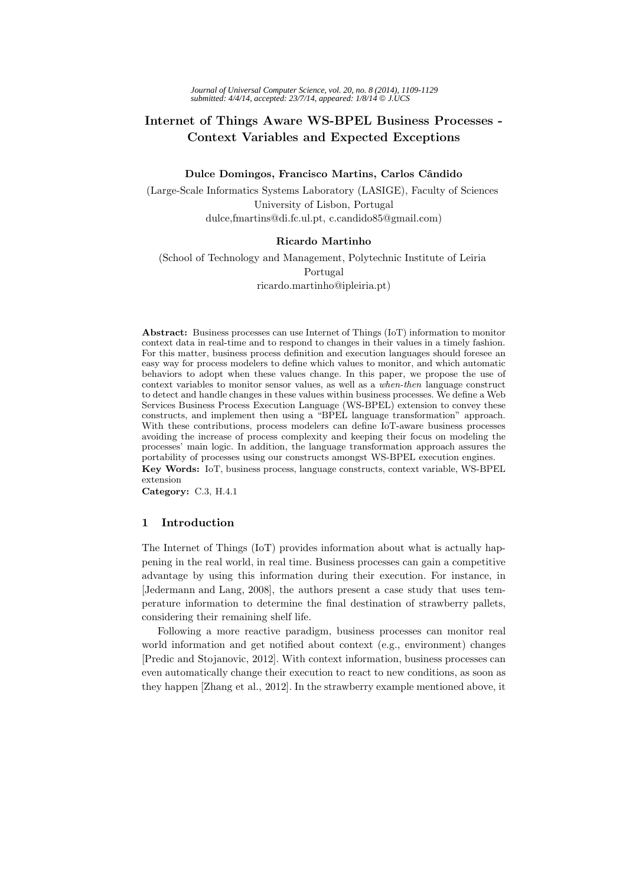# **Internet of Things Aware WS-BPEL Business Processes - Context Variables and Expected Exceptions**

#### Dulce Domingos, Francisco Martins, Carlos Cândido

(Large-Scale Informatics Systems Laboratory (LASIGE), Faculty of Sciences University of Lisbon, Portugal dulce,fmartins@di.fc.ul.pt, c.candido85@gmail.com)

#### **Ricardo Martinho**

(School of Technology and Management, Polytechnic Institute of Leiria Portugal ricardo.martinho@ipleiria.pt)

**Abstract:** Business processes can use Internet of Things (IoT) information to monitor context data in real-time and to respond to changes in their values in a timely fashion. For this matter, business process definition and execution languages should foresee an easy way for process modelers to define which values to monitor, and which automatic behaviors to adopt when these values change. In this paper, we propose the use of context variables to monitor sensor values, as well as a *when-then* language construct to detect and handle changes in these values within business processes. We define a Web Services Business Process Execution Language (WS-BPEL) extension to convey these constructs, and implement then using a "BPEL language transformation" approach. With these contributions, process modelers can define IoT-aware business processes avoiding the increase of process complexity and keeping their focus on modeling the processes' main logic. In addition, the language transformation approach assures the portability of processes using our constructs amongst WS-BPEL execution engines.

**Key Words:** IoT, business process, language constructs, context variable, WS-BPEL extension

**Category:** C.3, H.4.1

# **1 Introduction**

The Internet of Things (IoT) provides information about what is actually happening in the real world, in real time. Business processes can gain a competitive advantage by using this information during their execution. For instance, in [Jedermann and Lang, 2008], the authors present a case study that uses temperature information to determine the final destination of strawberry pallets, considering their remaining shelf life.

Following a more reactive paradigm, business processes can monitor real world information and get notified about context (e.g., environment) changes [Predic and Stojanovic, 2012]. With context information, business processes can even automatically change their execution to react to new conditions, as soon as they happen [Zhang et al., 2012]. In the strawberry example mentioned above, it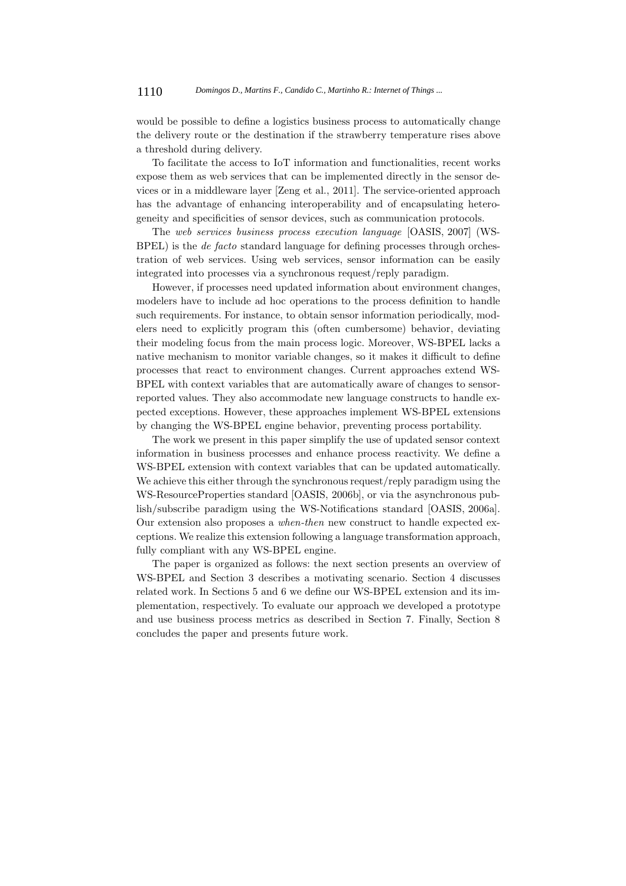would be possible to define a logistics business process to automatically change the delivery route or the destination if the strawberry temperature rises above a threshold during delivery.

To facilitate the access to IoT information and functionalities, recent works expose them as web services that can be implemented directly in the sensor devices or in a middleware layer [Zeng et al., 2011]. The service-oriented approach has the advantage of enhancing interoperability and of encapsulating heterogeneity and specificities of sensor devices, such as communication protocols.

The *web services business process execution language* [OASIS, 2007] (WS-BPEL) is the *de facto* standard language for defining processes through orchestration of web services. Using web services, sensor information can be easily integrated into processes via a synchronous request/reply paradigm.

However, if processes need updated information about environment changes, modelers have to include ad hoc operations to the process definition to handle such requirements. For instance, to obtain sensor information periodically, modelers need to explicitly program this (often cumbersome) behavior, deviating their modeling focus from the main process logic. Moreover, WS-BPEL lacks a native mechanism to monitor variable changes, so it makes it difficult to define processes that react to environment changes. Current approaches extend WS-BPEL with context variables that are automatically aware of changes to sensorreported values. They also accommodate new language constructs to handle expected exceptions. However, these approaches implement WS-BPEL extensions by changing the WS-BPEL engine behavior, preventing process portability.

The work we present in this paper simplify the use of updated sensor context information in business processes and enhance process reactivity. We define a WS-BPEL extension with context variables that can be updated automatically. We achieve this either through the synchronous request/reply paradigm using the WS-ResourceProperties standard [OASIS, 2006b], or via the asynchronous publish/subscribe paradigm using the WS-Notifications standard [OASIS, 2006a]. Our extension also proposes a *when-then* new construct to handle expected exceptions. We realize this extension following a language transformation approach, fully compliant with any WS-BPEL engine.

The paper is organized as follows: the next section presents an overview of WS-BPEL and Section 3 describes a motivating scenario. Section 4 discusses related work. In Sections 5 and 6 we define our WS-BPEL extension and its implementation, respectively. To evaluate our approach we developed a prototype and use business process metrics as described in Section 7. Finally, Section 8 concludes the paper and presents future work.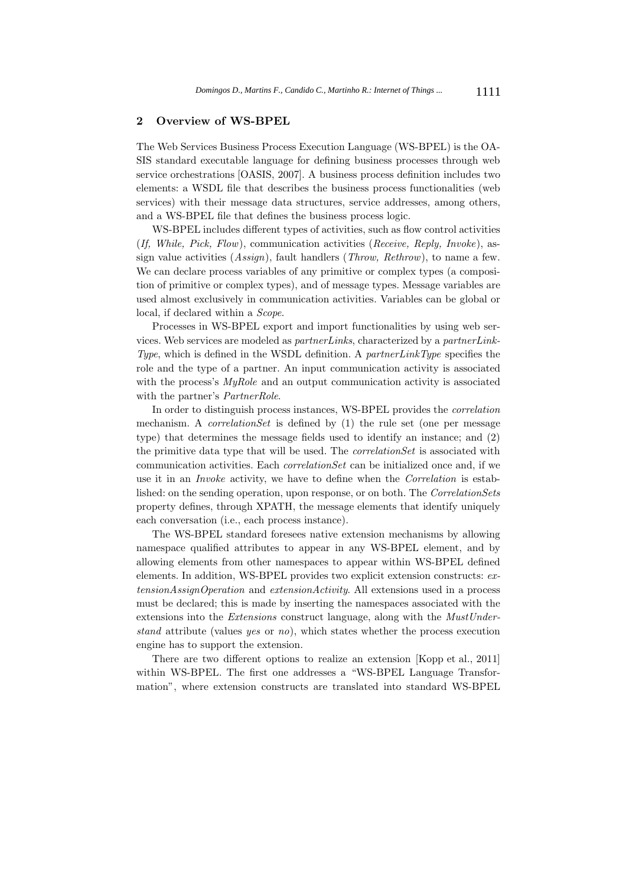#### **2 Overview of WS-BPEL**

The Web Services Business Process Execution Language (WS-BPEL) is the OA-SIS standard executable language for defining business processes through web service orchestrations [OASIS, 2007]. A business process definition includes two elements: a WSDL file that describes the business process functionalities (web services) with their message data structures, service addresses, among others, and a WS-BPEL file that defines the business process logic.

WS-BPEL includes different types of activities, such as flow control activities (*If, While, Pick, Flow*), communication activities (*Receive, Reply, Invoke*), assign value activities (*Assign*), fault handlers (*Throw, Rethrow*), to name a few. We can declare process variables of any primitive or complex types (a composition of primitive or complex types), and of message types. Message variables are used almost exclusively in communication activities. Variables can be global or local, if declared within a *Scope*.

Processes in WS-BPEL export and import functionalities by using web services. Web services are modeled as *partnerLinks*, characterized by a *partnerLink-Type*, which is defined in the WSDL definition. A *partnerLinkType* specifies the role and the type of a partner. An input communication activity is associated with the process's *MyRole* and an output communication activity is associated with the partner's *PartnerRole*.

In order to distinguish process instances, WS-BPEL provides the *correlation* mechanism. A *correlationSet* is defined by (1) the rule set (one per message type) that determines the message fields used to identify an instance; and (2) the primitive data type that will be used. The *correlationSet* is associated with communication activities. Each *correlationSet* can be initialized once and, if we use it in an *Invoke* activity, we have to define when the *Correlation* is established: on the sending operation, upon response, or on both. The *CorrelationSets* property defines, through XPATH, the message elements that identify uniquely each conversation (i.e., each process instance).

The WS-BPEL standard foresees native extension mechanisms by allowing namespace qualified attributes to appear in any WS-BPEL element, and by allowing elements from other namespaces to appear within WS-BPEL defined elements. In addition, WS-BPEL provides two explicit extension constructs: *extensionAssignOperation* and *extensionActivity*. All extensions used in a process must be declared; this is made by inserting the namespaces associated with the extensions into the *Extensions* construct language, along with the *MustUnderstand* attribute (values *yes* or *no*), which states whether the process execution engine has to support the extension.

There are two different options to realize an extension [Kopp et al., 2011] within WS-BPEL. The first one addresses a "WS-BPEL Language Transformation", where extension constructs are translated into standard WS-BPEL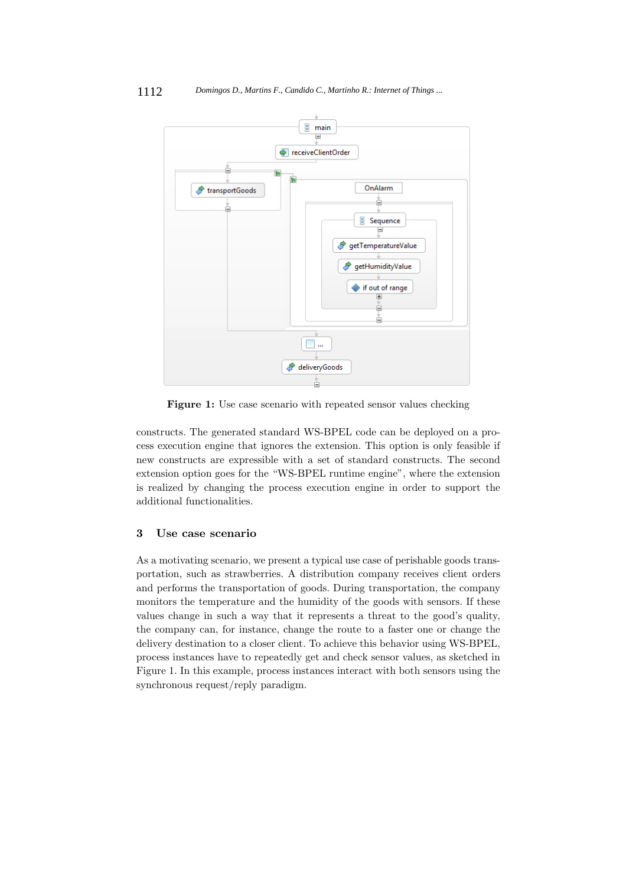

**Figure 1:** Use case scenario with repeated sensor values checking

constructs. The generated standard WS-BPEL code can be deployed on a process execution engine that ignores the extension. This option is only feasible if new constructs are expressible with a set of standard constructs. The second extension option goes for the "WS-BPEL runtime engine", where the extension is realized by changing the process execution engine in order to support the additional functionalities.

# **3 Use case scenario**

As a motivating scenario, we present a typical use case of perishable goods transportation, such as strawberries. A distribution company receives client orders and performs the transportation of goods. During transportation, the company monitors the temperature and the humidity of the goods with sensors. If these values change in such a way that it represents a threat to the good's quality, the company can, for instance, change the route to a faster one or change the delivery destination to a closer client. To achieve this behavior using WS-BPEL, process instances have to repeatedly get and check sensor values, as sketched in Figure 1. In this example, process instances interact with both sensors using the synchronous request/reply paradigm.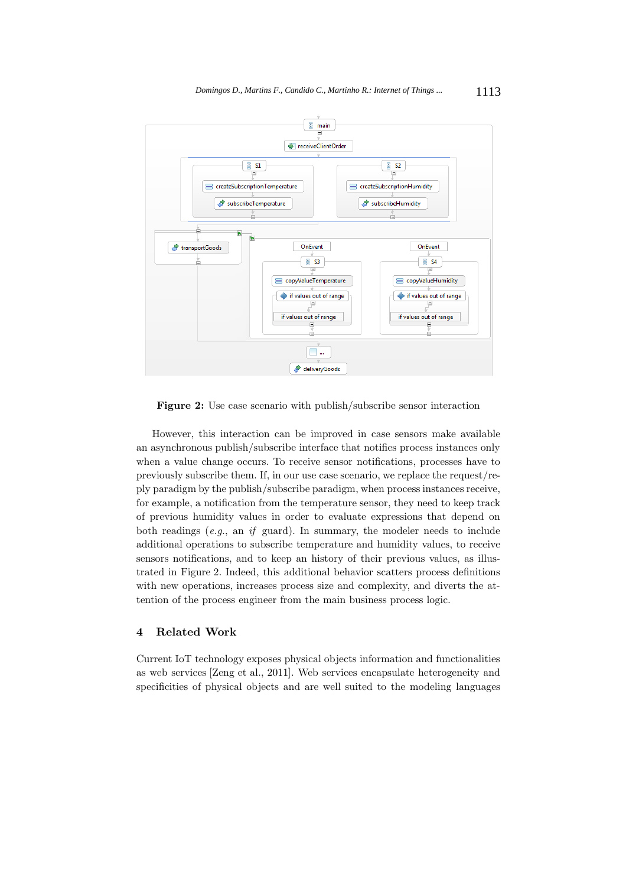

**Figure 2:** Use case scenario with publish/subscribe sensor interaction

However, this interaction can be improved in case sensors make available an asynchronous publish/subscribe interface that notifies process instances only when a value change occurs. To receive sensor notifications, processes have to previously subscribe them. If, in our use case scenario, we replace the request/reply paradigm by the publish/subscribe paradigm, when process instances receive, for example, a notification from the temperature sensor, they need to keep track of previous humidity values in order to evaluate expressions that depend on both readings (*e.g.*, an *if* guard). In summary, the modeler needs to include additional operations to subscribe temperature and humidity values, to receive sensors notifications, and to keep an history of their previous values, as illustrated in Figure 2. Indeed, this additional behavior scatters process definitions with new operations, increases process size and complexity, and diverts the attention of the process engineer from the main business process logic.

# **4 Related Work**

Current IoT technology exposes physical objects information and functionalities as web services [Zeng et al., 2011]. Web services encapsulate heterogeneity and specificities of physical objects and are well suited to the modeling languages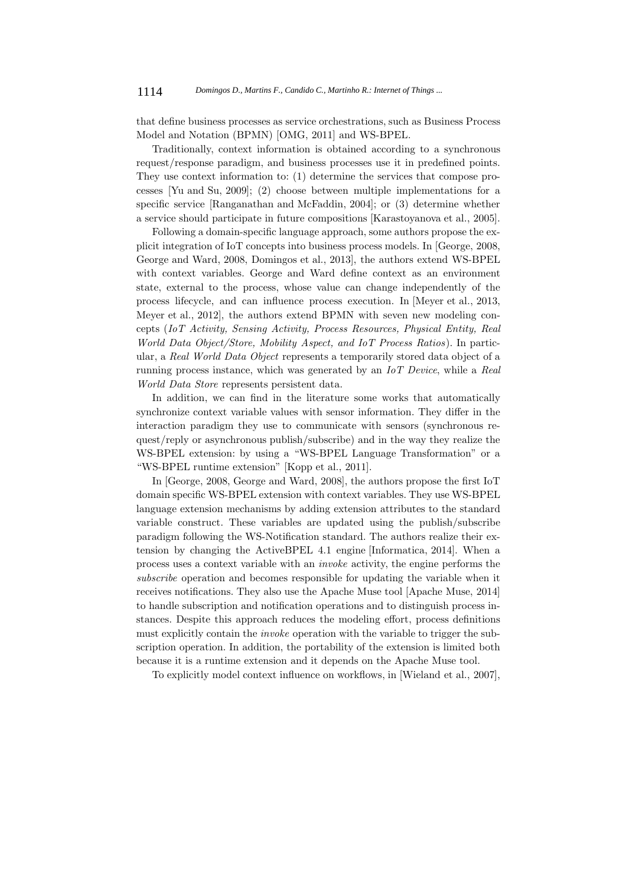that define business processes as service orchestrations, such as Business Process Model and Notation (BPMN) [OMG, 2011] and WS-BPEL.

Traditionally, context information is obtained according to a synchronous request/response paradigm, and business processes use it in predefined points. They use context information to: (1) determine the services that compose processes [Yu and Su, 2009]; (2) choose between multiple implementations for a specific service [Ranganathan and McFaddin, 2004]; or (3) determine whether a service should participate in future compositions [Karastoyanova et al., 2005].

Following a domain-specific language approach, some authors propose the explicit integration of IoT concepts into business process models. In [George, 2008, George and Ward, 2008, Domingos et al., 2013], the authors extend WS-BPEL with context variables. George and Ward define context as an environment state, external to the process, whose value can change independently of the process lifecycle, and can influence process execution. In [Meyer et al., 2013, Meyer et al., 2012], the authors extend BPMN with seven new modeling concepts (*IoT Activity, Sensing Activity, Process Resources, Physical Entity, Real World Data Object/Store, Mobility Aspect, and IoT Process Ratios*). In particular, a *Real World Data Object* represents a temporarily stored data object of a running process instance, which was generated by an *IoT Device*, while a *Real World Data Store* represents persistent data.

In addition, we can find in the literature some works that automatically synchronize context variable values with sensor information. They differ in the interaction paradigm they use to communicate with sensors (synchronous request/reply or asynchronous publish/subscribe) and in the way they realize the WS-BPEL extension: by using a "WS-BPEL Language Transformation" or a "WS-BPEL runtime extension" [Kopp et al., 2011].

In [George, 2008, George and Ward, 2008], the authors propose the first IoT domain specific WS-BPEL extension with context variables. They use WS-BPEL language extension mechanisms by adding extension attributes to the standard variable construct. These variables are updated using the publish/subscribe paradigm following the WS-Notification standard. The authors realize their extension by changing the ActiveBPEL 4.1 engine [Informatica, 2014]. When a process uses a context variable with an *invoke* activity, the engine performs the *subscribe* operation and becomes responsible for updating the variable when it receives notifications. They also use the Apache Muse tool [Apache Muse, 2014] to handle subscription and notification operations and to distinguish process instances. Despite this approach reduces the modeling effort, process definitions must explicitly contain the *invoke* operation with the variable to trigger the subscription operation. In addition, the portability of the extension is limited both because it is a runtime extension and it depends on the Apache Muse tool.

To explicitly model context influence on workflows, in [Wieland et al., 2007],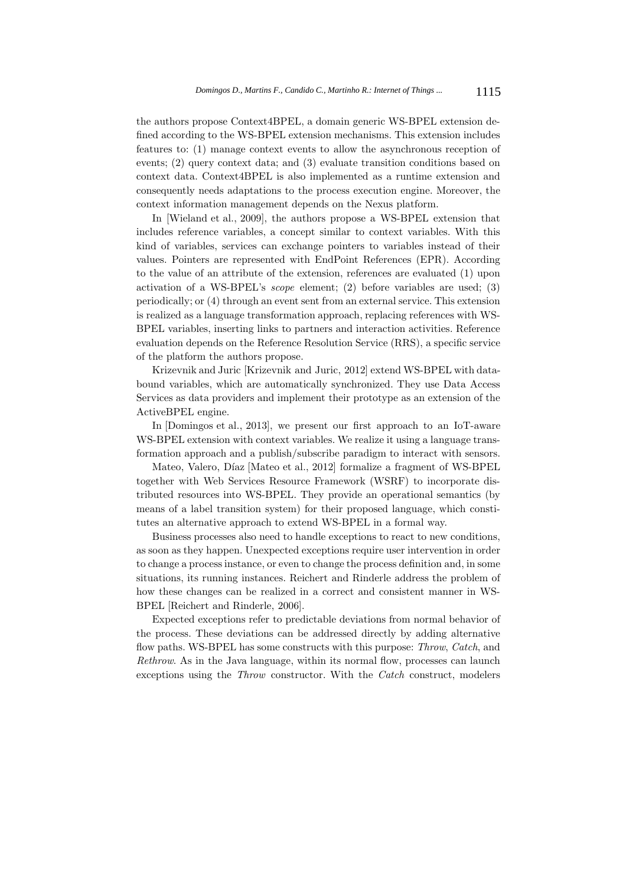the authors propose Context4BPEL, a domain generic WS-BPEL extension defined according to the WS-BPEL extension mechanisms. This extension includes features to: (1) manage context events to allow the asynchronous reception of events; (2) query context data; and (3) evaluate transition conditions based on context data. Context4BPEL is also implemented as a runtime extension and consequently needs adaptations to the process execution engine. Moreover, the context information management depends on the Nexus platform.

In [Wieland et al., 2009], the authors propose a WS-BPEL extension that includes reference variables, a concept similar to context variables. With this kind of variables, services can exchange pointers to variables instead of their values. Pointers are represented with EndPoint References (EPR). According to the value of an attribute of the extension, references are evaluated (1) upon activation of a WS-BPEL's *scope* element; (2) before variables are used; (3) periodically; or (4) through an event sent from an external service. This extension is realized as a language transformation approach, replacing references with WS-BPEL variables, inserting links to partners and interaction activities. Reference evaluation depends on the Reference Resolution Service (RRS), a specific service of the platform the authors propose.

Krizevnik and Juric [Krizevnik and Juric, 2012] extend WS-BPEL with databound variables, which are automatically synchronized. They use Data Access Services as data providers and implement their prototype as an extension of the ActiveBPEL engine.

In [Domingos et al., 2013], we present our first approach to an IoT-aware WS-BPEL extension with context variables. We realize it using a language transformation approach and a publish/subscribe paradigm to interact with sensors.

Mateo, Valero, Díaz [Mateo et al., 2012] formalize a fragment of WS-BPEL together with Web Services Resource Framework (WSRF) to incorporate distributed resources into WS-BPEL. They provide an operational semantics (by means of a label transition system) for their proposed language, which constitutes an alternative approach to extend WS-BPEL in a formal way.

Business processes also need to handle exceptions to react to new conditions, as soon as they happen. Unexpected exceptions require user intervention in order to change a process instance, or even to change the process definition and, in some situations, its running instances. Reichert and Rinderle address the problem of how these changes can be realized in a correct and consistent manner in WS-BPEL [Reichert and Rinderle, 2006].

Expected exceptions refer to predictable deviations from normal behavior of the process. These deviations can be addressed directly by adding alternative flow paths. WS-BPEL has some constructs with this purpose: *Throw*, *Catch*, and *Rethrow*. As in the Java language, within its normal flow, processes can launch exceptions using the *Throw* constructor. With the *Catch* construct, modelers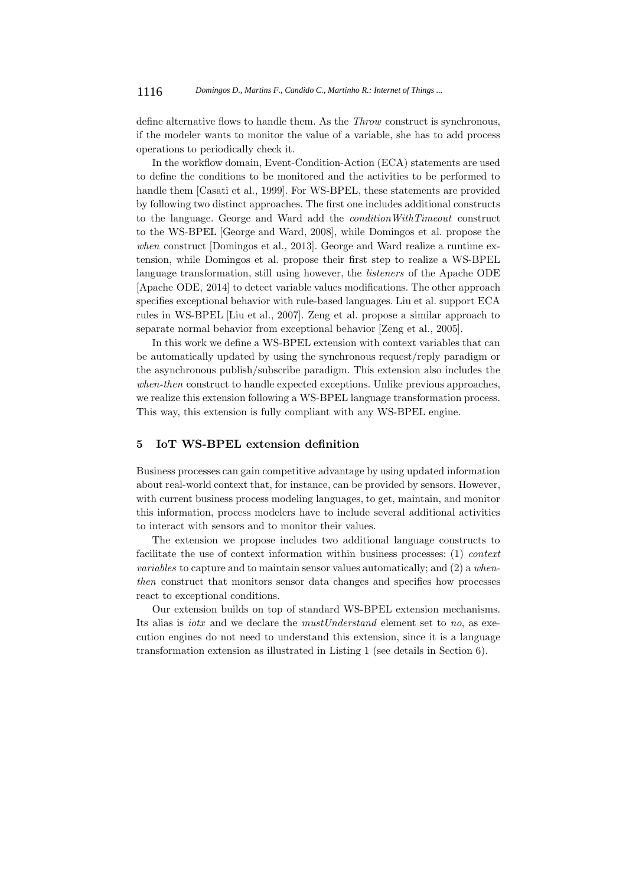define alternative flows to handle them. As the *Throw* construct is synchronous, if the modeler wants to monitor the value of a variable, she has to add process operations to periodically check it.

In the workflow domain, Event-Condition-Action (ECA) statements are used to define the conditions to be monitored and the activities to be performed to handle them [Casati et al., 1999]. For WS-BPEL, these statements are provided by following two distinct approaches. The first one includes additional constructs to the language. George and Ward add the *conditionWithTimeout* construct to the WS-BPEL [George and Ward, 2008], while Domingos et al. propose the *when* construct [Domingos et al., 2013]. George and Ward realize a runtime extension, while Domingos et al. propose their first step to realize a WS-BPEL language transformation, still using however, the *listeners* of the Apache ODE [Apache ODE, 2014] to detect variable values modifications. The other approach specifies exceptional behavior with rule-based languages. Liu et al. support ECA rules in WS-BPEL [Liu et al., 2007]. Zeng et al. propose a similar approach to separate normal behavior from exceptional behavior [Zeng et al., 2005].

In this work we define a WS-BPEL extension with context variables that can be automatically updated by using the synchronous request/reply paradigm or the asynchronous publish/subscribe paradigm. This extension also includes the *when-then* construct to handle expected exceptions. Unlike previous approaches, we realize this extension following a WS-BPEL language transformation process. This way, this extension is fully compliant with any WS-BPEL engine.

# **5 IoT WS-BPEL extension definition**

Business processes can gain competitive advantage by using updated information about real-world context that, for instance, can be provided by sensors. However, with current business process modeling languages, to get, maintain, and monitor this information, process modelers have to include several additional activities to interact with sensors and to monitor their values.

The extension we propose includes two additional language constructs to facilitate the use of context information within business processes: (1) *context variables* to capture and to maintain sensor values automatically; and (2) a *whenthen* construct that monitors sensor data changes and specifies how processes react to exceptional conditions.

Our extension builds on top of standard WS-BPEL extension mechanisms. Its alias is *iotx* and we declare the *mustUnderstand* element set to *no*, as execution engines do not need to understand this extension, since it is a language transformation extension as illustrated in Listing 1 (see details in Section 6).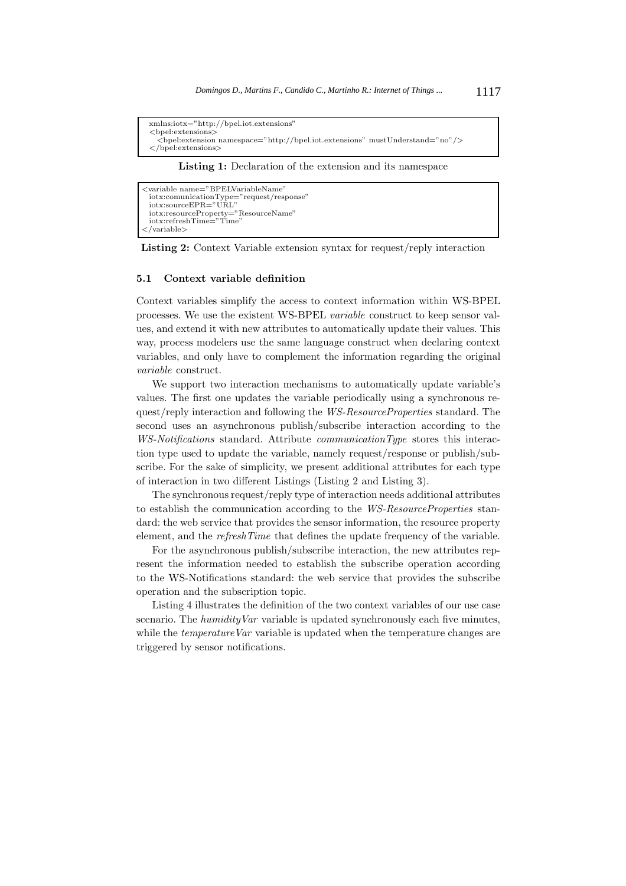```
xmlns:iotx="http://bpel.iot.extensions"
<bpel:extensions>
  <bpel:extension namespace="http://bpel.iot.extensions" mustUnderstand="no"/>
</bpel:extensions>
```
**Listing 1:** Declaration of the extension and its namespace

```
<variable name="BPELVariableName"
  iotx:comunicationType="request/response"
iotx:sourceEPR="URL"
 iotx:resourceProperty="ResourceName"
 iotx:refreshTime="Time"
</variable>
```
**Listing 2:** Context Variable extension syntax for request/reply interaction

## **5.1 Context variable definition**

Context variables simplify the access to context information within WS-BPEL processes. We use the existent WS-BPEL *variable* construct to keep sensor values, and extend it with new attributes to automatically update their values. This way, process modelers use the same language construct when declaring context variables, and only have to complement the information regarding the original *variable* construct.

We support two interaction mechanisms to automatically update variable's values. The first one updates the variable periodically using a synchronous request/reply interaction and following the *WS-ResourceProperties* standard. The second uses an asynchronous publish/subscribe interaction according to the *WS-Notifications* standard. Attribute *communicationType* stores this interaction type used to update the variable, namely request/response or publish/subscribe. For the sake of simplicity, we present additional attributes for each type of interaction in two different Listings (Listing 2 and Listing 3).

The synchronous request/reply type of interaction needs additional attributes to establish the communication according to the *WS-ResourceProperties* standard: the web service that provides the sensor information, the resource property element, and the *refreshTime* that defines the update frequency of the variable.

For the asynchronous publish/subscribe interaction, the new attributes represent the information needed to establish the subscribe operation according to the WS-Notifications standard: the web service that provides the subscribe operation and the subscription topic.

Listing 4 illustrates the definition of the two context variables of our use case scenario. The *humidityVar* variable is updated synchronously each five minutes, while the *temperature Var* variable is updated when the temperature changes are triggered by sensor notifications.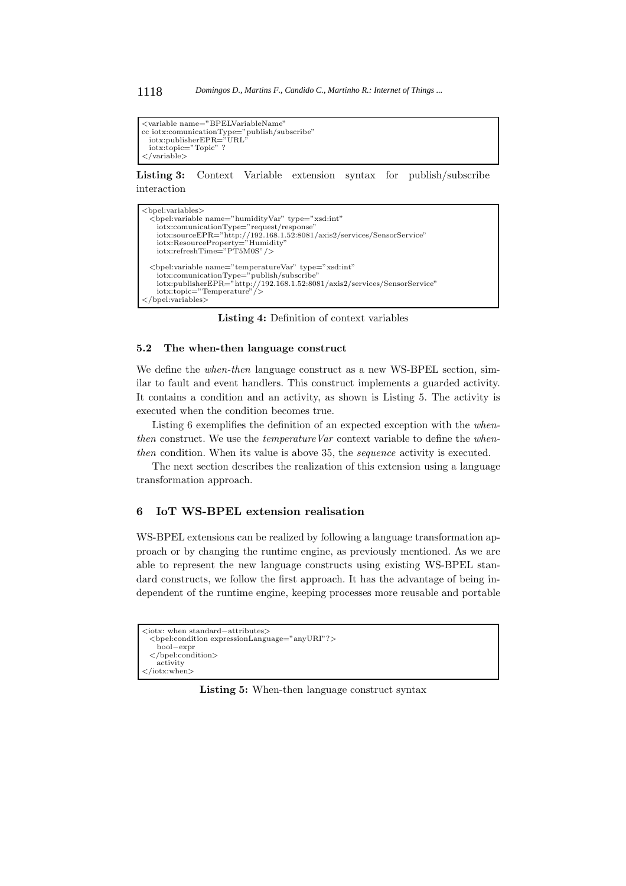```
<variable name="BPELVariableName"
cc iotx:comunicationType="publish/subscribe"
iotx:publisherEPR="URL"
  iotx:topic="Topic" ?
</variable>
```
**Listing 3:** Context Variable extension syntax for publish/subscribe interaction

```
<bpel:variables>
  <bpel:variable name="humidityVar" type="xsd:int"
     iotx:comunicationType="request/response"
iotx:sourceEPR="http://192.168.1.52:8081/axis2/services/SensorService"
iotx:ResourceProperty="Humidity"
    iotx:refreshTime="PT5M0S"/>
  <bpel:variable name="temperatureVar" type="xsd:int"
     iotx:comunicationType="publish/subscribe"
iotx:publisherEPR="http://192.168.1.52:8081/axis2/services/SensorService"
    iotx:topic="Temperature"/>
</bpel:variables>
```
**Listing 4:** Definition of context variables

#### **5.2 The when-then language construct**

We define the *when-then* language construct as a new WS-BPEL section, similar to fault and event handlers. This construct implements a guarded activity. It contains a condition and an activity, as shown is Listing 5. The activity is executed when the condition becomes true.

Listing 6 exemplifies the definition of an expected exception with the *whenthen* construct. We use the *temperature Var* context variable to define the *whenthen* condition. When its value is above 35, the *sequence* activity is executed.

The next section describes the realization of this extension using a language transformation approach.

# **6 IoT WS-BPEL extension realisation**

WS-BPEL extensions can be realized by following a language transformation approach or by changing the runtime engine, as previously mentioned. As we are able to represent the new language constructs using existing WS-BPEL standard constructs, we follow the first approach. It has the advantage of being independent of the runtime engine, keeping processes more reusable and portable

```
<iotx: when standard−attributes>
 <bpel:condition expressionLanguage="anyURI"?>
   bool−expr
 </bpel:condition>
   activity
</iotx:when>
```
**Listing 5:** When-then language construct syntax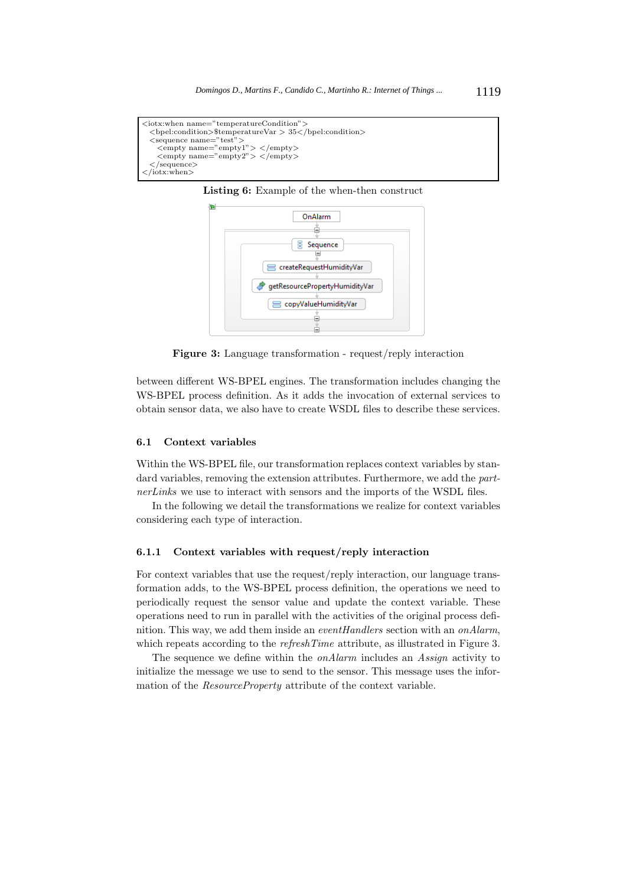```
<iotx:when name="temperatureCondition">
 <bpel:condition>$temperatureVar > 35</bpel:condition>
 <sequence name="test">
   <empty name="empty1"> </empty>
   <empty name="empty2"> </empty>
 </sequence>
</iotx:when>
```


**Listing 6:** Example of the when-then construct

**Figure 3:** Language transformation - request/reply interaction

ě

between different WS-BPEL engines. The transformation includes changing the WS-BPEL process definition. As it adds the invocation of external services to obtain sensor data, we also have to create WSDL files to describe these services.

#### **6.1 Context variables**

Within the WS-BPEL file, our transformation replaces context variables by standard variables, removing the extension attributes. Furthermore, we add the *partnerLinks* we use to interact with sensors and the imports of the WSDL files.

In the following we detail the transformations we realize for context variables considering each type of interaction.

#### **6.1.1 Context variables with request/reply interaction**

For context variables that use the request/reply interaction, our language transformation adds, to the WS-BPEL process definition, the operations we need to periodically request the sensor value and update the context variable. These operations need to run in parallel with the activities of the original process definition. This way, we add them inside an *eventHandlers* section with an *onAlarm*, which repeats according to the *refreshTime* attribute, as illustrated in Figure 3.

The sequence we define within the *onAlarm* includes an *Assign* activity to initialize the message we use to send to the sensor. This message uses the information of the *ResourceProperty* attribute of the context variable.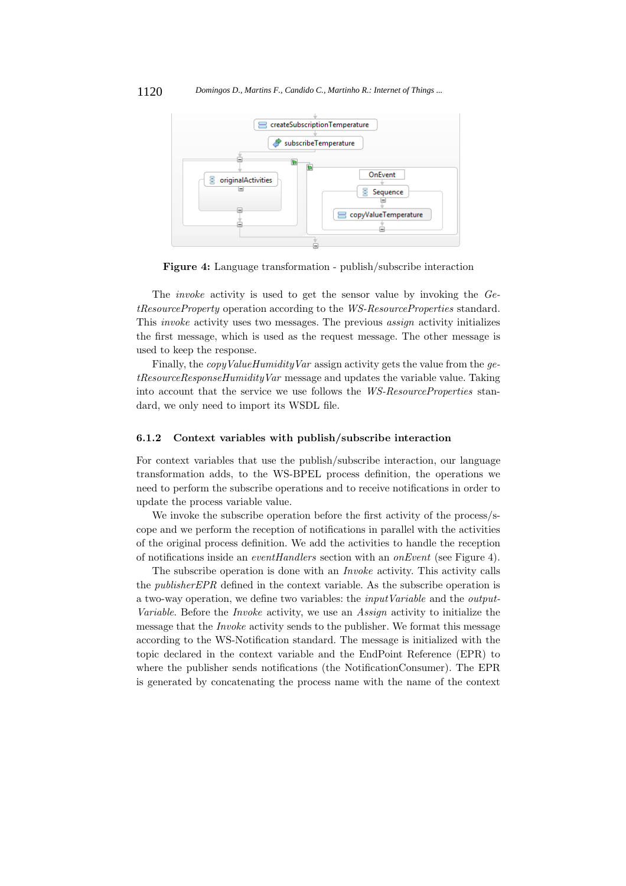

**Figure 4:** Language transformation - publish/subscribe interaction

The *invoke* activity is used to get the sensor value by invoking the *GetResourceProperty* operation according to the *WS-ResourceProperties* standard. This *invoke* activity uses two messages. The previous *assign* activity initializes the first message, which is used as the request message. The other message is used to keep the response.

Finally, the *copyValueHumidityVar* assign activity gets the value from the *getResourceResponseHumidityVar* message and updates the variable value. Taking into account that the service we use follows the *WS-ResourceProperties* standard, we only need to import its WSDL file.

## **6.1.2 Context variables with publish/subscribe interaction**

For context variables that use the publish/subscribe interaction, our language transformation adds, to the WS-BPEL process definition, the operations we need to perform the subscribe operations and to receive notifications in order to update the process variable value.

We invoke the subscribe operation before the first activity of the process/scope and we perform the reception of notifications in parallel with the activities of the original process definition. We add the activities to handle the reception of notifications inside an *eventHandlers* section with an *onEvent* (see Figure 4).

The subscribe operation is done with an *Invoke* activity. This activity calls the *publisherEPR* defined in the context variable. As the subscribe operation is a two-way operation, we define two variables: the *inputVariable* and the *output-Variable*. Before the *Invoke* activity, we use an *Assign* activity to initialize the message that the *Invoke* activity sends to the publisher. We format this message according to the WS-Notification standard. The message is initialized with the topic declared in the context variable and the EndPoint Reference (EPR) to where the publisher sends notifications (the NotificationConsumer). The EPR is generated by concatenating the process name with the name of the context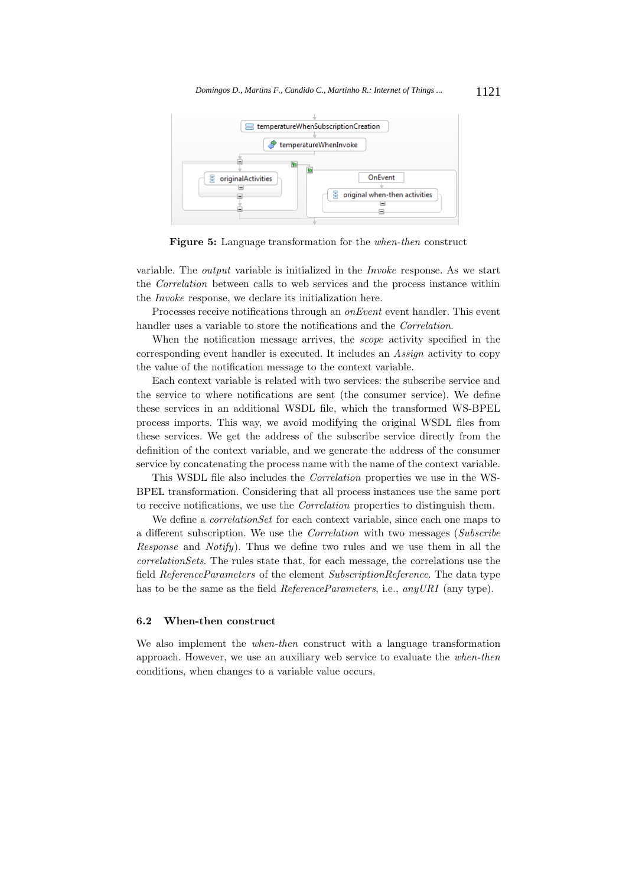

**Figure 5:** Language transformation for the *when-then* construct

variable. The *output* variable is initialized in the *Invoke* response. As we start the *Correlation* between calls to web services and the process instance within the *Invoke* response, we declare its initialization here.

Processes receive notifications through an *onEvent* event handler. This event handler uses a variable to store the notifications and the *Correlation*.

When the notification message arrives, the *scope* activity specified in the corresponding event handler is executed. It includes an *Assign* activity to copy the value of the notification message to the context variable.

Each context variable is related with two services: the subscribe service and the service to where notifications are sent (the consumer service). We define these services in an additional WSDL file, which the transformed WS-BPEL process imports. This way, we avoid modifying the original WSDL files from these services. We get the address of the subscribe service directly from the definition of the context variable, and we generate the address of the consumer service by concatenating the process name with the name of the context variable.

This WSDL file also includes the *Correlation* properties we use in the WS-BPEL transformation. Considering that all process instances use the same port to receive notifications, we use the *Correlation* properties to distinguish them.

We define a *correlationSet* for each context variable, since each one maps to a different subscription. We use the *Correlation* with two messages (*Subscribe Response* and *Notify*). Thus we define two rules and we use them in all the *correlationSets*. The rules state that, for each message, the correlations use the field *ReferenceParameters* of the element *SubscriptionReference*. The data type has to be the same as the field *ReferenceParameters*, i.e., *anyURI* (any type).

#### **6.2 When-then construct**

We also implement the *when-then* construct with a language transformation approach. However, we use an auxiliary web service to evaluate the *when-then* conditions, when changes to a variable value occurs.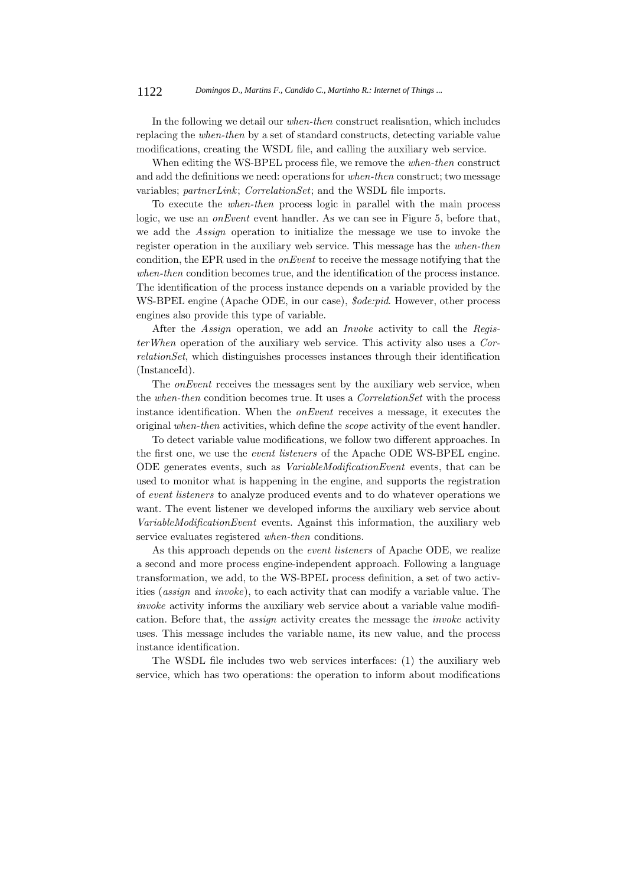#### 1122 *Domingos D., Martins F., Candido C., Martinho R.: Internet of Things ...*

In the following we detail our *when-then* construct realisation, which includes replacing the *when-then* by a set of standard constructs, detecting variable value modifications, creating the WSDL file, and calling the auxiliary web service.

When editing the WS-BPEL process file, we remove the *when-then* construct and add the definitions we need: operations for *when-then* construct; two message variables; *partnerLink*; *CorrelationSet*; and the WSDL file imports.

To execute the *when-then* process logic in parallel with the main process logic, we use an *onEvent* event handler. As we can see in Figure 5, before that, we add the *Assign* operation to initialize the message we use to invoke the register operation in the auxiliary web service. This message has the *when-then* condition, the EPR used in the *onEvent* to receive the message notifying that the *when-then* condition becomes true, and the identification of the process instance. The identification of the process instance depends on a variable provided by the WS-BPEL engine (Apache ODE, in our case), *\$ode:pid*. However, other process engines also provide this type of variable.

After the *Assign* operation, we add an *Invoke* activity to call the *RegisterWhen* operation of the auxiliary web service. This activity also uses a *CorrelationSet*, which distinguishes processes instances through their identification (InstanceId).

The *onEvent* receives the messages sent by the auxiliary web service, when the *when-then* condition becomes true. It uses a *CorrelationSet* with the process instance identification. When the *onEvent* receives a message, it executes the original *when-then* activities, which define the *scope* activity of the event handler.

To detect variable value modifications, we follow two different approaches. In the first one, we use the *event listeners* of the Apache ODE WS-BPEL engine. ODE generates events, such as *VariableModificationEvent* events, that can be used to monitor what is happening in the engine, and supports the registration of *event listeners* to analyze produced events and to do whatever operations we want. The event listener we developed informs the auxiliary web service about *VariableModificationEvent* events. Against this information, the auxiliary web service evaluates registered *when-then* conditions.

As this approach depends on the *event listeners* of Apache ODE, we realize a second and more process engine-independent approach. Following a language transformation, we add, to the WS-BPEL process definition, a set of two activities (*assign* and *invoke*), to each activity that can modify a variable value. The *invoke* activity informs the auxiliary web service about a variable value modification. Before that, the *assign* activity creates the message the *invoke* activity uses. This message includes the variable name, its new value, and the process instance identification.

The WSDL file includes two web services interfaces: (1) the auxiliary web service, which has two operations: the operation to inform about modifications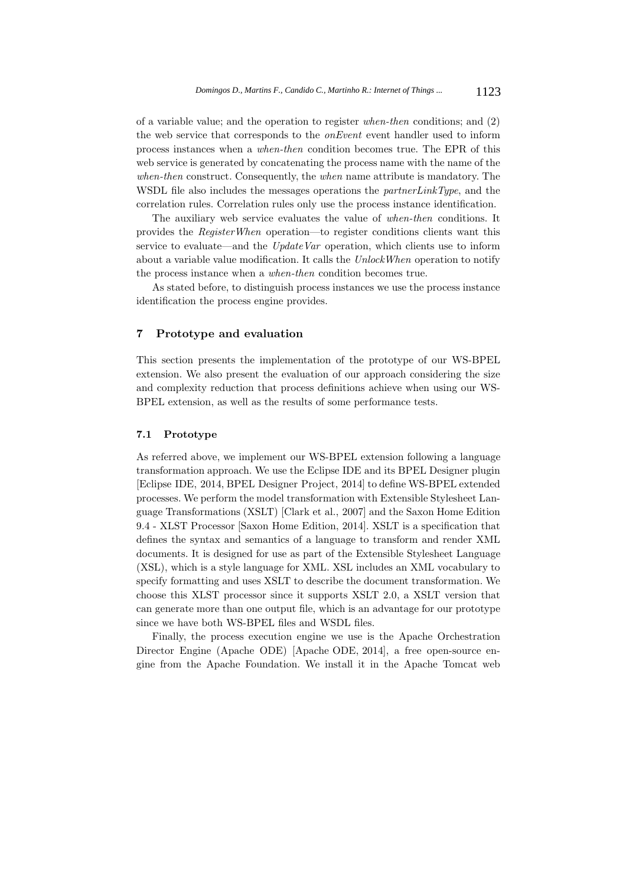of a variable value; and the operation to register *when-then* conditions; and (2) the web service that corresponds to the *onEvent* event handler used to inform process instances when a *when-then* condition becomes true. The EPR of this web service is generated by concatenating the process name with the name of the *when-then* construct. Consequently, the *when* name attribute is mandatory. The WSDL file also includes the messages operations the *partnerLinkType*, and the correlation rules. Correlation rules only use the process instance identification.

The auxiliary web service evaluates the value of *when-then* conditions. It provides the *RegisterWhen* operation—to register conditions clients want this service to evaluate—and the *UpdateVar* operation, which clients use to inform about a variable value modification. It calls the *UnlockWhen* operation to notify the process instance when a *when-then* condition becomes true.

As stated before, to distinguish process instances we use the process instance identification the process engine provides.

## **7 Prototype and evaluation**

This section presents the implementation of the prototype of our WS-BPEL extension. We also present the evaluation of our approach considering the size and complexity reduction that process definitions achieve when using our WS-BPEL extension, as well as the results of some performance tests.

## **7.1 Prototype**

As referred above, we implement our WS-BPEL extension following a language transformation approach. We use the Eclipse IDE and its BPEL Designer plugin [Eclipse IDE, 2014, BPEL Designer Project, 2014] to define WS-BPEL extended processes. We perform the model transformation with Extensible Stylesheet Language Transformations (XSLT) [Clark et al., 2007] and the Saxon Home Edition 9.4 - XLST Processor [Saxon Home Edition, 2014]. XSLT is a specification that defines the syntax and semantics of a language to transform and render XML documents. It is designed for use as part of the Extensible Stylesheet Language (XSL), which is a style language for XML. XSL includes an XML vocabulary to specify formatting and uses XSLT to describe the document transformation. We choose this XLST processor since it supports XSLT 2.0, a XSLT version that can generate more than one output file, which is an advantage for our prototype since we have both WS-BPEL files and WSDL files.

Finally, the process execution engine we use is the Apache Orchestration Director Engine (Apache ODE) [Apache ODE, 2014], a free open-source engine from the Apache Foundation. We install it in the Apache Tomcat web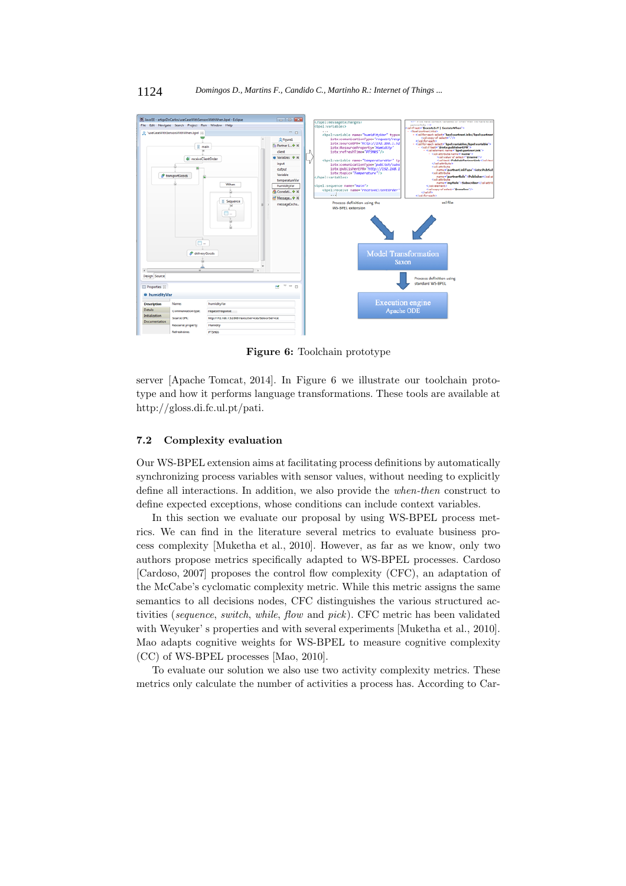

**Figure 6:** Toolchain prototype

server [Apache Tomcat, 2014]. In Figure 6 we illustrate our toolchain prototype and how it performs language transformations. These tools are available at http://gloss.di.fc.ul.pt/pati.

## **7.2 Complexity evaluation**

Our WS-BPEL extension aims at facilitating process definitions by automatically synchronizing process variables with sensor values, without needing to explicitly define all interactions. In addition, we also provide the *when-then* construct to define expected exceptions, whose conditions can include context variables.

In this section we evaluate our proposal by using WS-BPEL process metrics. We can find in the literature several metrics to evaluate business process complexity [Muketha et al., 2010]. However, as far as we know, only two authors propose metrics specifically adapted to WS-BPEL processes. Cardoso [Cardoso, 2007] proposes the control flow complexity (CFC), an adaptation of the McCabe's cyclomatic complexity metric. While this metric assigns the same semantics to all decisions nodes, CFC distinguishes the various structured activities (*sequence*, *switch*, *while*, *flow* and *pick*). CFC metric has been validated with Weyuker' s properties and with several experiments [Muketha et al., 2010]. Mao adapts cognitive weights for WS-BPEL to measure cognitive complexity (CC) of WS-BPEL processes [Mao, 2010].

To evaluate our solution we also use two activity complexity metrics. These metrics only calculate the number of activities a process has. According to Car-

#### 1124 *Domingos D., Martins F., Candido C., Martinho R.: Internet of Things ...*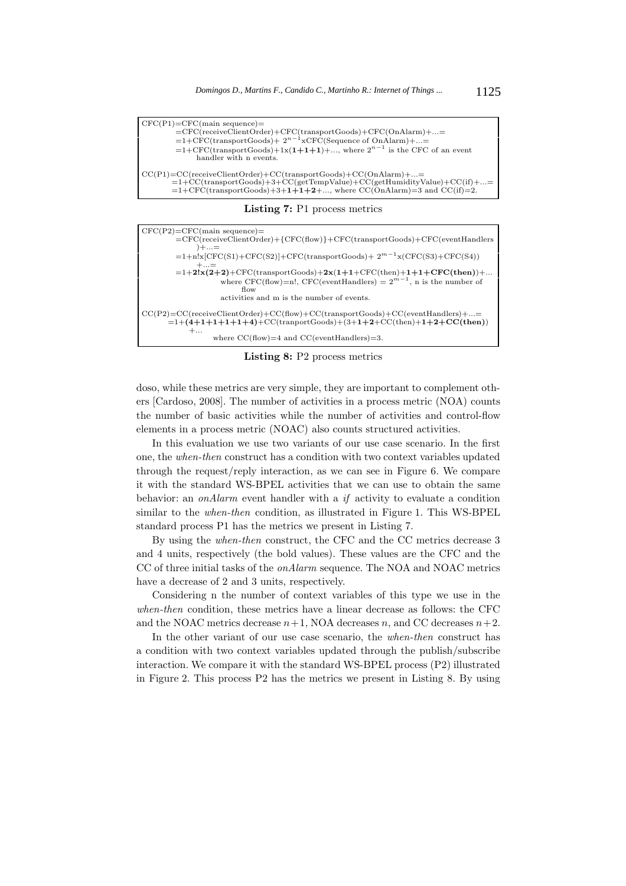$\overline{\text{CFC}}(P1) = \text{CFC}}(\text{main sequence}) =$ =CFC(receiveClientOrder)+CFC(transportGoods)+CFC(OnAlarm)+...= =1+CFC(transportGoods)+ 2*n−*1xCFC(Sequence of OnAlarm)+...= =1+CFC(transportGoods)+1x(**1+1+1**)+..., where 2*n−*<sup>1</sup> is the CFC of an event handler with n events. CC(P1)=CC(receiveClientOrder)+CC(transportGoods)+CC(OnAlarm)+...= =1+CC(transportGoods)+3+CC(getTempValue)+CC(getHumidityValue)+CC(if)+...= =1+CFC(transportGoods)+3+**1+1+2**+..., where CC(OnAlarm)=3 and CC(if)=2.

**Listing 7:** P1 process metrics

| $CFC(P2)=CFC(main sequence)=$                                                   |
|---------------------------------------------------------------------------------|
| =CFC(receiveClientOrder)+{CFC(flow)}+CFC(transportGoods)+CFC(eventHandlers      |
| )+…=                                                                            |
| $=1+n!x[CFC(S1)+CFC(S2)]+CFC(transportGoods)+2m-1x(CFC(S3)+CFC(S4))$            |
| $+=$                                                                            |
| $=1+2!x(2+2)+CFC$ (transportGoods)+2x(1+1+CFC(then)+1+1+CFC(then))+             |
| where CFC(flow)=n!, CFC(eventHandlers) = $2^{m-1}$ , n is the number of         |
| flow                                                                            |
| activities and m is the number of events.                                       |
|                                                                                 |
| $CC(P2)=CC(receiveClientOrder)+CC(flow)+CC(transportGoods)+CC(eventHandlers)+=$ |
| $=1+(4+1+1+1+1+4)+CC$ (tranportGoods)+(3+1+2+CC(then)+1+2+CC(then))             |
| $+$                                                                             |
| where $CC(flow)=4$ and $CC(eventHandlers)=3$ .                                  |

**Listing 8:** P2 process metrics

doso, while these metrics are very simple, they are important to complement others [Cardoso, 2008]. The number of activities in a process metric (NOA) counts the number of basic activities while the number of activities and control-flow elements in a process metric (NOAC) also counts structured activities.

In this evaluation we use two variants of our use case scenario. In the first one, the *when-then* construct has a condition with two context variables updated through the request/reply interaction, as we can see in Figure 6. We compare it with the standard WS-BPEL activities that we can use to obtain the same behavior: an *onAlarm* event handler with a *if* activity to evaluate a condition similar to the *when-then* condition, as illustrated in Figure 1. This WS-BPEL standard process P1 has the metrics we present in Listing 7.

By using the *when-then* construct, the CFC and the CC metrics decrease 3 and 4 units, respectively (the bold values). These values are the CFC and the CC of three initial tasks of the *onAlarm* sequence. The NOA and NOAC metrics have a decrease of 2 and 3 units, respectively.

Considering n the number of context variables of this type we use in the *when-then* condition, these metrics have a linear decrease as follows: the CFC and the NOAC metrics decrease  $n+1$ , NOA decreases *n*, and CC decreases  $n+2$ .

In the other variant of our use case scenario, the *when-then* construct has a condition with two context variables updated through the publish/subscribe interaction. We compare it with the standard WS-BPEL process (P2) illustrated in Figure 2. This process P2 has the metrics we present in Listing 8. By using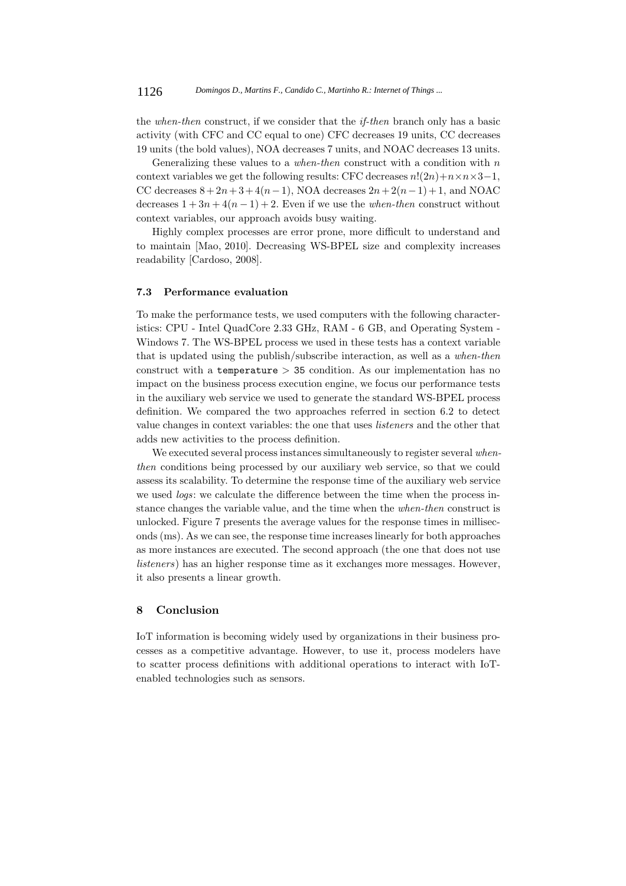the *when-then* construct, if we consider that the *if-then* branch only has a basic activity (with CFC and CC equal to one) CFC decreases 19 units, CC decreases 19 units (the bold values), NOA decreases 7 units, and NOAC decreases 13 units.

Generalizing these values to a *when-then* construct with a condition with *n* context variables we get the following results: CFC decreases  $n!(2n)+n \times n \times 3-1$ , CC decreases  $8 + 2n + 3 + 4(n-1)$ , NOA decreases  $2n + 2(n-1) + 1$ , and NOAC decreases  $1 + 3n + 4(n - 1) + 2$ . Even if we use the *when-then* construct without context variables, our approach avoids busy waiting.

Highly complex processes are error prone, more difficult to understand and to maintain [Mao, 2010]. Decreasing WS-BPEL size and complexity increases readability [Cardoso, 2008].

# **7.3 Performance evaluation**

To make the performance tests, we used computers with the following characteristics: CPU - Intel QuadCore 2.33 GHz, RAM - 6 GB, and Operating System - Windows 7. The WS-BPEL process we used in these tests has a context variable that is updated using the publish/subscribe interaction, as well as a *when-then* construct with a temperature *>* 35 condition. As our implementation has no impact on the business process execution engine, we focus our performance tests in the auxiliary web service we used to generate the standard WS-BPEL process definition. We compared the two approaches referred in section 6.2 to detect value changes in context variables: the one that uses *listeners* and the other that adds new activities to the process definition.

We executed several process instances simultaneously to register several *whenthen* conditions being processed by our auxiliary web service, so that we could assess its scalability. To determine the response time of the auxiliary web service we used *logs*: we calculate the difference between the time when the process instance changes the variable value, and the time when the *when-then* construct is unlocked. Figure 7 presents the average values for the response times in milliseconds (ms). As we can see, the response time increases linearly for both approaches as more instances are executed. The second approach (the one that does not use *listeners*) has an higher response time as it exchanges more messages. However, it also presents a linear growth.

## **8 Conclusion**

IoT information is becoming widely used by organizations in their business processes as a competitive advantage. However, to use it, process modelers have to scatter process definitions with additional operations to interact with IoTenabled technologies such as sensors.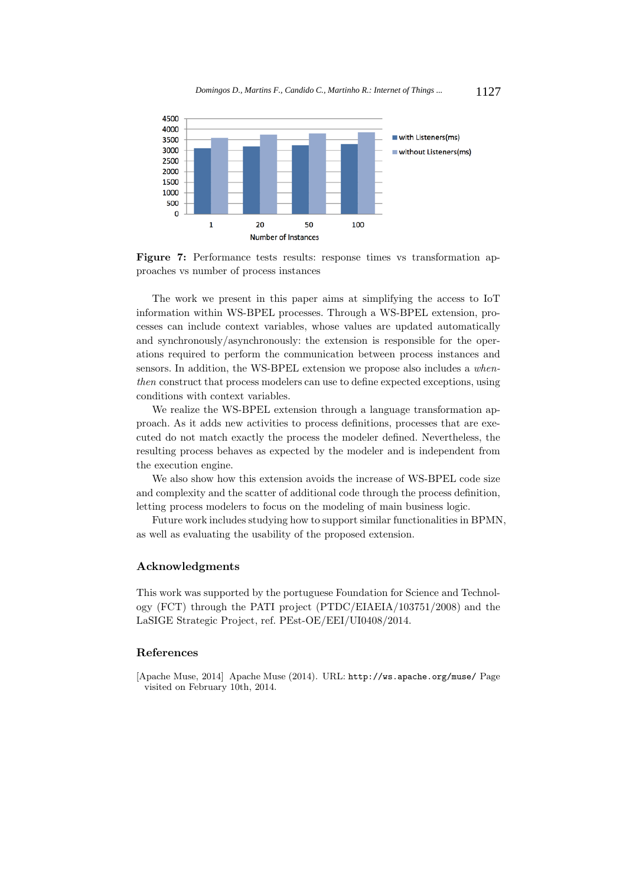

**Figure 7:** Performance tests results: response times vs transformation approaches vs number of process instances

The work we present in this paper aims at simplifying the access to IoT information within WS-BPEL processes. Through a WS-BPEL extension, processes can include context variables, whose values are updated automatically and synchronously/asynchronously: the extension is responsible for the operations required to perform the communication between process instances and sensors. In addition, the WS-BPEL extension we propose also includes a *whenthen* construct that process modelers can use to define expected exceptions, using conditions with context variables.

We realize the WS-BPEL extension through a language transformation approach. As it adds new activities to process definitions, processes that are executed do not match exactly the process the modeler defined. Nevertheless, the resulting process behaves as expected by the modeler and is independent from the execution engine.

We also show how this extension avoids the increase of WS-BPEL code size and complexity and the scatter of additional code through the process definition, letting process modelers to focus on the modeling of main business logic.

Future work includes studying how to support similar functionalities in BPMN, as well as evaluating the usability of the proposed extension.

## **Acknowledgments**

This work was supported by the portuguese Foundation for Science and Technology (FCT) through the PATI project (PTDC/EIAEIA/103751/2008) and the LaSIGE Strategic Project, ref. PEst-OE/EEI/UI0408/2014.

## **References**

[Apache Muse, 2014] Apache Muse (2014). URL: http://ws.apache.org/muse/ Page visited on February 10th, 2014.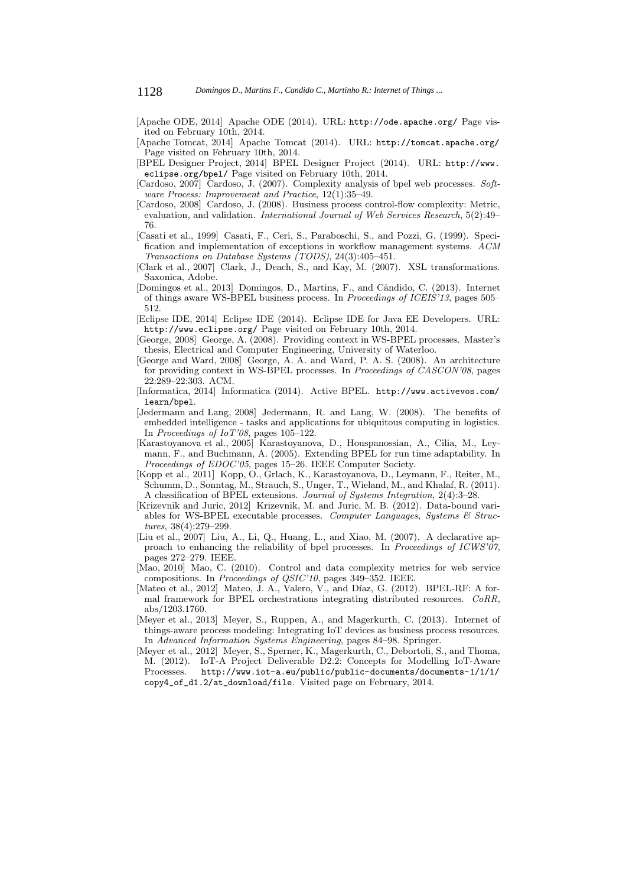- [Apache ODE, 2014] Apache ODE (2014). URL: http://ode.apache.org/ Page visited on February 10th, 2014.
- [Apache Tomcat, 2014] Apache Tomcat (2014). URL: http://tomcat.apache.org/ Page visited on February 10th, 2014.

[BPEL Designer Project, 2014] BPEL Designer Project (2014). URL: http://www. eclipse.org/bpel/ Page visited on February 10th, 2014.

- [Cardoso, 2007] Cardoso, J. (2007). Complexity analysis of bpel web processes. *Software Process: Improvement and Practice*, 12(1):35–49.
- [Cardoso, 2008] Cardoso, J. (2008). Business process control-flow complexity: Metric, evaluation, and validation. *International Journal of Web Services Research*, 5(2):49– 76.
- [Casati et al., 1999] Casati, F., Ceri, S., Paraboschi, S., and Pozzi, G. (1999). Specification and implementation of exceptions in workflow management systems. *ACM Transactions on Database Systems (TODS)*, 24(3):405–451.
- [Clark et al., 2007] Clark, J., Deach, S., and Kay, M. (2007). XSL transformations. Saxonica, Adobe.
- [Domingos et al., 2013] Domingos, D., Martins, F., and Cândido, C. (2013). Internet of things aware WS-BPEL business process. In *Proceedings of ICEIS'13*, pages 505– 512.
- [Eclipse IDE, 2014] Eclipse IDE (2014). Eclipse IDE for Java EE Developers. URL: http://www.eclipse.org/ Page visited on February 10th, 2014.
- [George, 2008] George, A. (2008). Providing context in WS-BPEL processes. Master's thesis, Electrical and Computer Engineering, University of Waterloo.
- [George and Ward, 2008] George, A. A. and Ward, P. A. S. (2008). An architecture for providing context in WS-BPEL processes. In *Proceedings of CASCON'08*, pages 22:289–22:303. ACM.
- [Informatica, 2014] Informatica (2014). Active BPEL. http://www.activevos.com/ learn/bpel.
- [Jedermann and Lang, 2008] Jedermann, R. and Lang, W. (2008). The benefits of embedded intelligence - tasks and applications for ubiquitous computing in logistics. In *Proceedings of IoT'08*, pages 105–122.
- [Karastoyanova et al., 2005] Karastoyanova, D., Houspanossian, A., Cilia, M., Leymann, F., and Buchmann, A. (2005). Extending BPEL for run time adaptability. In *Proceedings of EDOC'05*, pages 15–26. IEEE Computer Society.
- [Kopp et al., 2011] Kopp, O., Grlach, K., Karastoyanova, D., Leymann, F., Reiter, M., Schumm, D., Sonntag, M., Strauch, S., Unger, T., Wieland, M., and Khalaf, R. (2011). A classification of BPEL extensions. *Journal of Systems Integration*, 2(4):3–28.
- [Krizevnik and Juric, 2012] Krizevnik, M. and Juric, M. B. (2012). Data-bound variables for WS-BPEL executable processes. *Computer Languages, Systems & Structures*, 38(4):279–299.
- [Liu et al., 2007] Liu, A., Li, Q., Huang, L., and Xiao, M. (2007). A declarative approach to enhancing the reliability of bpel processes. In *Proceedings of ICWS'07*, pages 272–279. IEEE.
- [Mao, 2010] Mao, C. (2010). Control and data complexity metrics for web service compositions. In *Proceedings of QSIC'10*, pages 349–352. IEEE.
- [Mateo et al., 2012] Mateo, J. A., Valero, V., and Díaz, G. (2012). BPEL-RF: A formal framework for BPEL orchestrations integrating distributed resources. *CoRR*, abs/1203.1760.
- [Meyer et al., 2013] Meyer, S., Ruppen, A., and Magerkurth, C. (2013). Internet of things-aware process modeling: Integrating IoT devices as business process resources. In *Advanced Information Systems Engineering*, pages 84–98. Springer.
- [Meyer et al., 2012] Meyer, S., Sperner, K., Magerkurth, C., Debortoli, S., and Thoma, M. (2012). IoT-A Project Deliverable D2.2: Concepts for Modelling IoT-Aware Processes. http://www.iot-a.eu/public/public-documents/documents-1/1/1/ copy4\_of\_d1.2/at\_download/file. Visited page on February, 2014.